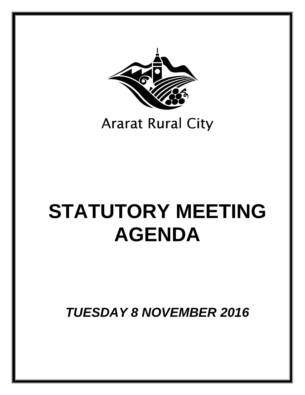

## **Ararat Rural City**

# **STATUTORY MEETING AGENDA**

*TUESDAY 8 NOVEMBER 2016*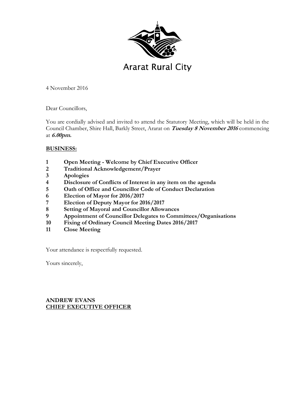

4 November 2016

Dear Councillors,

You are cordially advised and invited to attend the Statutory Meeting, which will be held in the Council Chamber, Shire Hall, Barkly Street, Ararat on **Tuesday 8 November 2016** commencing at **6.00pm.**

#### **BUSINESS:**

- **1 Open Meeting Welcome by Chief Executive Officer**
- **2 Traditional Acknowledgement/Prayer**
- **3 Apologies**
- **4 Disclosure of Conflicts of Interest in any item on the agenda**
- **5 Oath of Office and Councillor Code of Conduct Declaration**
- **6 Election of Mayor for 2016/2017**
- **7 Election of Deputy Mayor for 2016/2017**
- **8 Setting of Mayoral and Councillor Allowances**
- **9 Appointment of Councillor Delegates to Committees/Organisations**
- **10 Fixing of Ordinary Council Meeting Dates 2016/2017**
- **11 Close Meeting**

Your attendance is respectfully requested.

Yours sincerely,

## **ANDREW EVANS CHIEF EXECUTIVE OFFICER**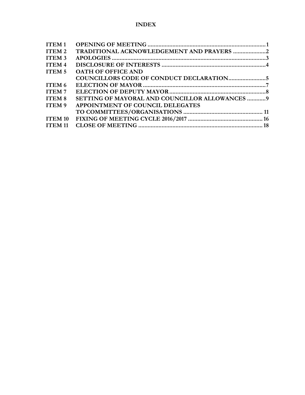## **INDEX**

| <b>ITEM1</b>      |                                                       |  |
|-------------------|-------------------------------------------------------|--|
| ITEM <sub>2</sub> | TRADITIONAL ACKNOWLEDGEMENT AND PRAYERS 2             |  |
| ITEM <sub>3</sub> |                                                       |  |
| <b>ITEM4</b>      |                                                       |  |
| ITEM <sub>5</sub> | <b>OATH OF OFFICE AND</b>                             |  |
|                   |                                                       |  |
| ITEM 6            |                                                       |  |
| <b>ITEM7</b>      |                                                       |  |
| ITEM <sub>8</sub> | <b>SETTING OF MAYORAL AND COUNCILLOR ALLOWANCES 9</b> |  |
| ITEM <sub>9</sub> | APPOINTMENT OF COUNCIL DELEGATES                      |  |
|                   |                                                       |  |
| <b>ITEM 10</b>    |                                                       |  |
| <b>ITEM 11</b>    |                                                       |  |
|                   |                                                       |  |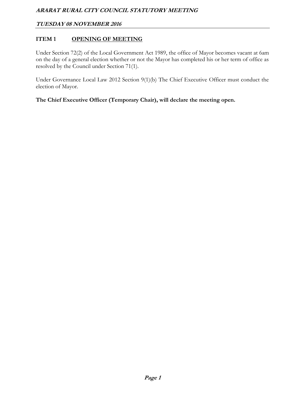## **ITEM 1** OPENING OF MEETING

Under Section 72(2) of the Local Government Act 1989, the office of Mayor becomes vacant at 6am on the day of a general election whether or not the Mayor has completed his or her term of office as resolved by the Council under Section 71(1).

Under Governance Local Law 2012 Section 9(1)(b) The Chief Executive Officer must conduct the election of Mayor.

**The Chief Executive Officer (Temporary Chair), will declare the meeting open.**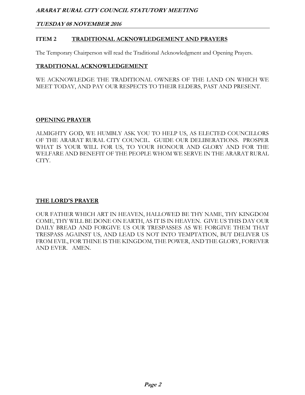#### **TUESDAY 08 NOVEMBER 2016**

#### **ITEM 2 TRADITIONAL ACKNOWLEDGEMENT AND PRAYERS**

The Temporary Chairperson will read the Traditional Acknowledgment and Opening Prayers.

#### **TRADITIONAL ACKNOWLEDGEMENT**

WE ACKNOWLEDGE THE TRADITIONAL OWNERS OF THE LAND ON WHICH WE MEET TODAY, AND PAY OUR RESPECTS TO THEIR ELDERS, PAST AND PRESENT.

#### **OPENING PRAYER**

ALMIGHTY GOD, WE HUMBLY ASK YOU TO HELP US, AS ELECTED COUNCILLORS OF THE ARARAT RURAL CITY COUNCIL. GUIDE OUR DELIBERATIONS. PROSPER WHAT IS YOUR WILL FOR US, TO YOUR HONOUR AND GLORY AND FOR THE WELFARE AND BENEFIT OF THE PEOPLE WHOM WE SERVE IN THE ARARAT RURAL CITY.

#### **THE LORD'S PRAYER**

OUR FATHER WHICH ART IN HEAVEN, HALLOWED BE THY NAME, THY KINGDOM COME, THY WILL BE DONE ON EARTH, AS IT IS IN HEAVEN. GIVE US THIS DAY OUR DAILY BREAD AND FORGIVE US OUR TRESPASSES AS WE FORGIVE THEM THAT TRESPASS AGAINST US, AND LEAD US NOT INTO TEMPTATION, BUT DELIVER US FROM EVIL, FOR THINE IS THE KINGDOM, THE POWER, AND THE GLORY, FOREVER AND EVER. AMEN.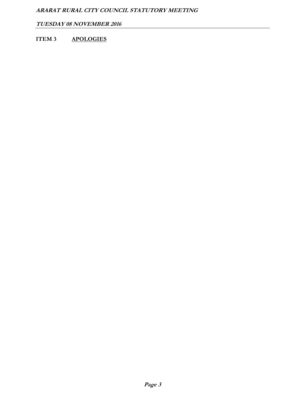**TUESDAY 08 NOVEMBER 2016** 

## **ITEM 3 APOLOGIES**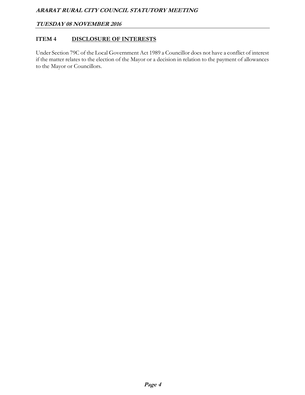#### **TUESDAY 08 NOVEMBER 2016**

#### **ITEM 4 DISCLOSURE OF INTERESTS**

Under Section 79C of the Local Government Act 1989 a Councillor does not have a conflict of interest if the matter relates to the election of the Mayor or a decision in relation to the payment of allowances to the Mayor or Councillors.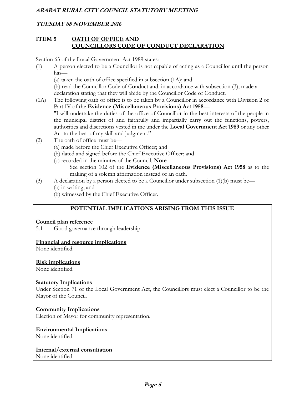#### **TUESDAY 08 NOVEMBER 2016**

#### **ITEM 5 OATH OF OFFICE AND COUNCILLORS CODE OF CONDUCT DECLARATION**

Section 63 of the Local Government Act 1989 states:

(1) A person elected to be a Councillor is not capable of acting as a Councillor until the person has—

(a) taken the oath of office specified in subsection (1A); and

 (b) read the Councillor Code of Conduct and, in accordance with subsection (3), made a declaration stating that they will abide by the Councillor Code of Conduct.

- (1A) The following oath of office is to be taken by a Councillor in accordance with Division 2 of Part IV of the **Evidence (Miscellaneous Provisions) Act 1958**— "I will undertake the duties of the office of Councillor in the best interests of the people in the municipal district of and faithfully and impartially carry out the functions, powers,
	- authorities and discretions vested in me under the **Local Government Act 1989** or any other Act to the best of my skill and judgment."
- (2) The oath of office must be—
	- (a) made before the Chief Executive Officer; and
	- (b) dated and signed before the Chief Executive Officer; and
	- (c) recorded in the minutes of the Council. **Note** 
		- See section 102 of the **Evidence (Miscellaneous Provisions) Act 1958** as to the making of a solemn affirmation instead of an oath.
- (3) A declaration by a person elected to be a Councillor under subsection (1)(b) must be—
	- (a) in writing; and
	- (b) witnessed by the Chief Executive Officer.

## **POTENTIAL IMPLICATIONS ARISING FROM THIS ISSUE**

#### **Council plan reference**

5.1 Good governance through leadership.

#### **Financial and resource implications**

None identified.

#### **Risk implications**

None identified.

#### **Statutory Implications**

Under Section 71 of the Local Government Act, the Councillors must elect a Councillor to be the Mayor of the Council.

#### **Community Implications**

Election of Mayor for community representation.

#### **Environmental Implications**

None identified.

## **Internal/external consultation**

None identified.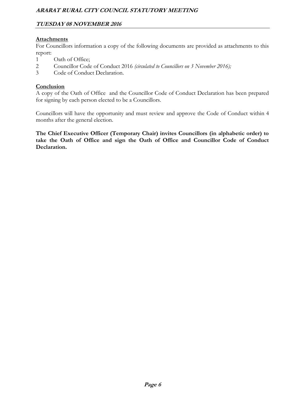#### **TUESDAY 08 NOVEMBER 2016**

#### **Attachments**

For Councillors information a copy of the following documents are provided as attachments to this report:

- 1 Oath of Office;
- 2 Councillor Code of Conduct 2016 *(circulated to Councillors on 3 November 2016);*
- 3 Code of Conduct Declaration.

#### **Conclusion**

A copy of the Oath of Office and the Councillor Code of Conduct Declaration has been prepared for signing by each person elected to be a Councillors.

Councillors will have the opportunity and must review and approve the Code of Conduct within 4 months after the general election.

**The Chief Executive Officer (Temporary Chair) invites Councillors (in alphabetic order) to take the Oath of Office and sign the Oath of Office and Councillor Code of Conduct Declaration.**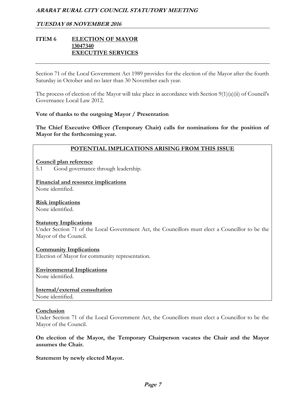#### **TUESDAY 08 NOVEMBER 2016**

#### **ITEM 6 ELECTION OF MAYOR 13047340 EXECUTIVE SERVICES**

Section 71 of the Local Government Act 1989 provides for the election of the Mayor after the fourth Saturday in October and no later than 30 November each year.

The process of election of the Mayor will take place in accordance with Section 9(1)(a)(ii) of Council's Governance Local Law 2012.

#### **Vote of thanks to the outgoing Mayor / Presentation**

**The Chief Executive Officer (Temporary Chair) calls for nominations for the position of Mayor for the forthcoming year.** 

#### **POTENTIAL IMPLICATIONS ARISING FROM THIS ISSUE**

**Council plan reference** 

5.1 Good governance through leadership.

**Financial and resource implications**  None identified.

**Risk implications** 

None identified.

#### **Statutory Implications**

Under Section 71 of the Local Government Act, the Councillors must elect a Councillor to be the Mayor of the Council.

#### **Community Implications**

Election of Mayor for community representation.

## **Environmental Implications**

None identified.

## **Internal/external consultation**

None identified.

#### **Conclusion**

Under Section 71 of the Local Government Act, the Councillors must elect a Councillor to be the Mayor of the Council.

**On election of the Mayor, the Temporary Chairperson vacates the Chair and the Mayor assumes the Chair.** 

**Statement by newly elected Mayor.**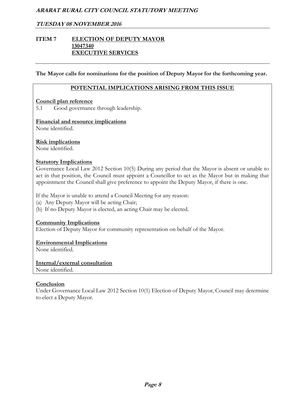#### **TUESDAY 08 NOVEMBER 2016**

#### **ITEM 7 ELECTION OF DEPUTY MAYOR 13047340 EXECUTIVE SERVICES**

**The Mayor calls for nominations for the position of Deputy Mayor for the forthcoming year.** 

#### **POTENTIAL IMPLICATIONS ARISING FROM THIS ISSUE**

#### **Council plan reference**

5.1 Good governance through leadership.

#### **Financial and resource implications**

None identified.

#### **Risk implications**

None identified.

#### **Statutory Implications**

Governance Local Law 2012 Section 10(5) During any period that the Mayor is absent or unable to act in that position, the Council must appoint a Councillor to act as the Mayor but in making that appointment the Council shall give preference to appoint the Deputy Mayor, if there is one.

If the Mayor is unable to attend a Council Meeting for any reason:

(a) Any Deputy Mayor will be acting Chair;

(b) If no Deputy Mayor is elected, an acting Chair may be elected.

#### **Community Implications**

Election of Deputy Mayor for community representation on behalf of the Mayor.

#### **Environmental Implications**

None identified.

#### **Internal/external consultation**  None identified.

#### **Conclusion**

Under Governance Local Law 2012 Section 10(1) Election of Deputy Mayor, Council may determine to elect a Deputy Mayor.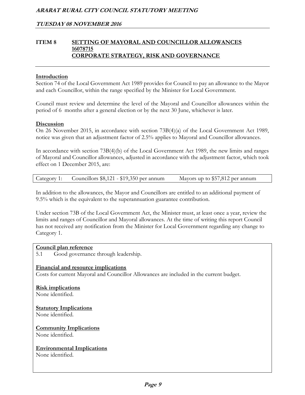#### **ITEM 8 SETTING OF MAYORAL AND COUNCILLOR ALLOWANCES 16078715 CORPORATE STRATEGY, RISK AND GOVERNANCE**

#### **Introduction**

Section 74 of the Local Government Act 1989 provides for Council to pay an allowance to the Mayor and each Councillor, within the range specified by the Minister for Local Government.

Council must review and determine the level of the Mayoral and Councillor allowances within the period of 6 months after a general election or by the next 30 June, whichever is later.

#### **Discussion**

On 26 November 2015, in accordance with section 73B(4)(a) of the Local Government Act 1989, notice was given that an adjustment factor of 2.5% applies to Mayoral and Councillor allowances.

In accordance with section 73B(4)(b) of the Local Government Act 1989, the new limits and ranges of Mayoral and Councillor allowances, adjusted in accordance with the adjustment factor, which took effect on 1 December 2015, are:

|  | Category 1: Councillors \$8,121 - \$19,350 per annum | Mayors up to \$57,812 per annum |
|--|------------------------------------------------------|---------------------------------|
|--|------------------------------------------------------|---------------------------------|

In addition to the allowances, the Mayor and Councillors are entitled to an additional payment of 9.5% which is the equivalent to the superannuation guarantee contribution.

Under section 73B of the Local Government Act, the Minister must, at least once a year, review the limits and ranges of Councillor and Mayoral allowances. At the time of writing this report Council has not received any notification from the Minister for Local Government regarding any change to Category 1.

#### **Council plan reference**

5.1 Good governance through leadership.

#### **Financial and resource implications**

Costs for current Mayoral and Councillor Allowances are included in the current budget.

## **Risk implications**

None identified.

#### **Statutory Implications**

None identified.

## **Community Implications**

None identified.

#### **Environmental Implications**

None identified.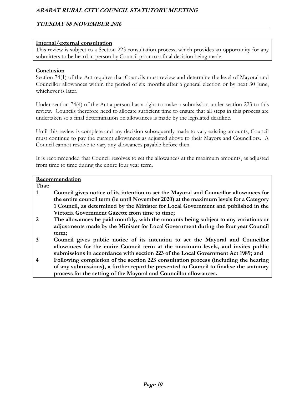## **TUESDAY 08 NOVEMBER 2016**

#### **Internal/external consultation**

This review is subject to a Section 223 consultation process, which provides an opportunity for any submitters to be heard in person by Council prior to a final decision being made.

#### **Conclusion**

Section 74(1) of the Act requires that Councils must review and determine the level of Mayoral and Councillor allowances within the period of six months after a general election or by next 30 June, whichever is later.

Under section 74(4) of the Act a person has a right to make a submission under section 223 to this review. Councils therefore need to allocate sufficient time to ensure that all steps in this process are undertaken so a final determination on allowances is made by the legislated deadline.

Until this review is complete and any decision subsequently made to vary existing amounts, Council must continue to pay the current allowances as adjusted above to their Mayors and Councillors. A Council cannot resolve to vary any allowances payable before then.

It is recommended that Council resolves to set the allowances at the maximum amounts, as adjusted from time to time during the entire four year term.

#### **Recommendation**

**That:** 

- **1 Council gives notice of its intention to set the Mayoral and Councillor allowances for the entire council term (ie until November 2020) at the maximum levels for a Category 1 Council, as determined by the Minister for Local Government and published in the Victoria Government Gazette from time to time;**
- **2 The allowances be paid monthly, with the amounts being subject to any variations or adjustments made by the Minister for Local Government during the four year Council term;**
- **3 Council gives public notice of its intention to set the Mayoral and Councillor allowances for the entire Council term at the maximum levels, and invites public submissions in accordance with section 223 of the Local Government Act 1989; and**
- **4 Following completion of the section 223 consultation process (including the hearing of any submissions), a further report be presented to Council to finalise the statutory process for the setting of the Mayoral and Councillor allowances.**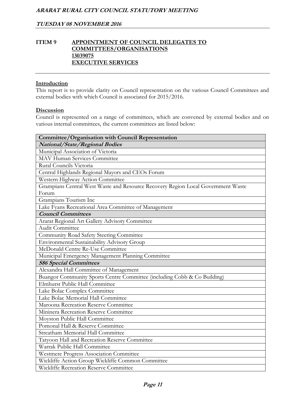#### **ITEM 9 APPOINTMENT OF COUNCIL DELEGATES TO COMMITTEES/ORGANISATIONS 13039075 EXECUTIVE SERVICES**

#### **Introduction**

This report is to provide clarity on Council representation on the various Council Committees and external bodies with which Council is associated for 2015/2016.

#### **Discussion**

Council is represented on a range of committees, which are convened by external bodies and on various internal committees, the current committees are listed below:

| Committee/Organisation with Council Representation                               |
|----------------------------------------------------------------------------------|
| National/State/Regional Bodies                                                   |
| Municipal Association of Victoria                                                |
| MAV Human Services Committee                                                     |
| Rural Councils Victoria                                                          |
| Central Highlands Regional Mayors and CEOs Forum                                 |
| Western Highway Action Committee                                                 |
| Grampians Central West Waste and Resource Recovery Region Local Government Waste |
| Forum                                                                            |
| Grampians Tourism Inc                                                            |
| Lake Fyans Recreational Area Committee of Management                             |
| <b>Council Committees</b>                                                        |
| Ararat Regional Art Gallery Advisory Committee                                   |
| Audit Committee                                                                  |
| Community Road Safety Steering Committee                                         |
| <b>Environmental Sustainability Advisory Group</b>                               |
| McDonald Centre Re-Use Committee                                                 |
| Municipal Emergency Management Planning Committee                                |
| <b>S86 Special Committees</b>                                                    |
| Alexandra Hall Committee of Management                                           |
| Buangor Community Sports Centre Committee (including Cobb & Co Building)         |
| Elmhurst Public Hall Committee                                                   |
| Lake Bolac Complex Committee                                                     |
| Lake Bolac Memorial Hall Committee                                               |
| Maroona Recreation Reserve Committee                                             |
| Mininera Recreation Reserve Committee                                            |
| Moyston Public Hall Committee                                                    |
| Pomonal Hall & Reserve Committee                                                 |
| Streatham Memorial Hall Committee                                                |
| Tatyoon Hall and Recreation Reserve Committee                                    |
| Warrak Public Hall Committee                                                     |
| Westmere Progress Association Committee                                          |
| Wickliffe Action Group Wickliffe Common Committee                                |
| Wickliffe Recreation Reserve Committee                                           |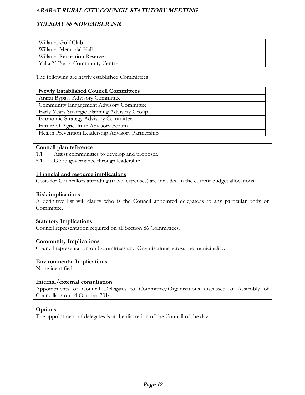## **TUESDAY 08 NOVEMBER 2016**

| Willaura Golf Club             |
|--------------------------------|
| Willaura Memorial Hall         |
| Willaura Recreation Reserve    |
| Yalla-Y-Poora Community Centre |

The following are newly established Committees

#### **Newly Established Council Committees**

Ararat Bypass Advisory Committee

Community Engagement Advisory Committee

Early Years Strategic Planning Advisory Group

Economic Strategy Advisory Committee

Future of Agriculture Advisory Forum

Health Prevention Leadership Advisory Partnership

#### **Council plan reference**

- 1.1 Assist communities to develop and proposer.
- 5.1 Good governance through leadership.

#### **Financial and resource implications**

Costs for Councillors attending (travel expenses) are included in the current budget allocations.

#### **Risk implications**

A definitive list will clarify who is the Council appointed delegate/s to any particular body or Committee.

#### **Statutory Implications**

Council representation required on all Section 86 Committees.

#### **Community Implications**

Council representation on Committees and Organisations across the municipality.

#### **Environmental Implications**

None identified.

#### **Internal/external consultation**

Appointments of Council Delegates to Committee/Organisations discussed at Assembly of Councillors on 14 October 2014.

#### **Options**

The appointment of delegates is at the discretion of the Council of the day.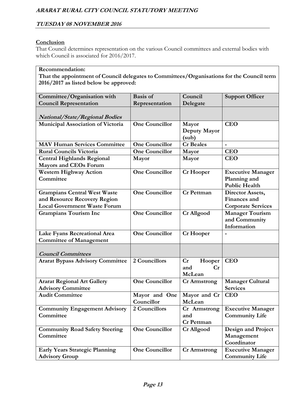#### **Conclusion**

That Council determines representation on the various Council committees and external bodies with which Council is associated for 2016/2017.

## **Recommendation:**

**That the appointment of Council delegates to Committees/Organisations for the Council term 2016/2017 as listed below be approved:**

| Committee/Organisation with                                                                                | <b>Basis of</b>             | Council                                  | <b>Support Officer</b>                                           |
|------------------------------------------------------------------------------------------------------------|-----------------------------|------------------------------------------|------------------------------------------------------------------|
| <b>Council Representation</b>                                                                              | Representation              | Delegate                                 |                                                                  |
| <b>National/State/Regional Bodies</b>                                                                      |                             |                                          |                                                                  |
| Municipal Association of Victoria                                                                          | <b>One Councillor</b>       | Mayor<br>Deputy Mayor<br>(sub)           | <b>CEO</b>                                                       |
| <b>MAV Human Services Committee</b>                                                                        | <b>One Councillor</b>       | <b>Cr</b> Beales                         |                                                                  |
| <b>Rural Councils Victoria</b>                                                                             | <b>One Councillor</b>       | Mayor                                    | <b>CEO</b>                                                       |
| <b>Central Highlands Regional</b><br><b>Mayors and CEOs Forum</b>                                          | Mayor                       | Mayor                                    | <b>CEO</b>                                                       |
| <b>Western Highway Action</b><br>Committee                                                                 | <b>One Councillor</b>       | <b>Cr</b> Hooper                         | <b>Executive Manager</b><br>Planning and<br><b>Public Health</b> |
| <b>Grampians Central West Waste</b><br>and Resource Recovery Region<br><b>Local Government Waste Forum</b> | <b>One Councillor</b>       | <b>Cr</b> Pettman                        | Director Assets,<br>Finances and<br><b>Corporate Services</b>    |
| <b>Grampians Tourism Inc</b>                                                                               | <b>One Councillor</b>       | Cr Allgood                               | <b>Manager Tourism</b><br>and Community<br>Information           |
| Lake Fyans Recreational Area<br><b>Committee of Management</b>                                             | <b>One Councillor</b>       | <b>Cr</b> Hooper                         |                                                                  |
| <b>Council Committees</b>                                                                                  |                             |                                          |                                                                  |
| <b>Ararat Bypass Advisory Committee</b>                                                                    | 2 Councillors               | Cr<br>Hooper<br>and<br>Cr<br>McLean      | <b>CEO</b>                                                       |
| <b>Ararat Regional Art Gallery</b><br><b>Advisory Committee</b>                                            | <b>One Councillor</b>       | <b>Cr Armstrong</b>                      | <b>Manager Cultural</b><br><b>Services</b>                       |
| <b>Audit Committee</b>                                                                                     | Mayor and One<br>Councillor | Mayor and Cr<br>McLean                   | <b>CEO</b>                                                       |
| <b>Community Engagement Advisory</b><br>Committee                                                          | 2 Councillors               | Cr Armstrong<br>and<br><b>Cr Pettman</b> | <b>Executive Manager</b><br><b>Community Life</b>                |
| <b>Community Road Safety Steering</b><br>Committee                                                         | <b>One Councillor</b>       | Cr Allgood                               | <b>Design and Project</b><br>Management<br>Coordinator           |
| <b>Early Years Strategic Planning</b><br><b>Advisory Group</b>                                             | <b>One Councillor</b>       | <b>Cr Armstrong</b>                      | <b>Executive Manager</b><br><b>Community Life</b>                |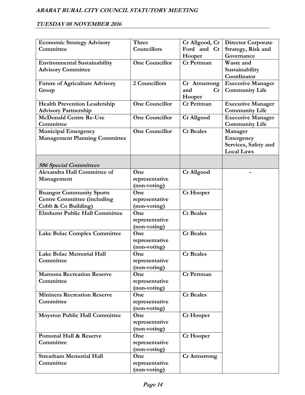## **TUESDAY 08 NOVEMBER 2016**

| <b>Economic Strategy Advisory</b>     | Three                 | Cr Allgood, Cr      | <b>Director Corporate</b> |
|---------------------------------------|-----------------------|---------------------|---------------------------|
| Committee                             | Councillors           | Ford and Cr         | Strategy, Risk and        |
|                                       |                       | Hooper              | Governance                |
| <b>Environmental Sustainability</b>   | <b>One Councillor</b> | <b>Cr</b> Pettman   | Waste and                 |
| <b>Advisory Committee</b>             |                       |                     | Sustainability            |
|                                       |                       |                     | Coordinator               |
| <b>Future of Agriculture Advisory</b> | 2 Councillors         | Cr Armstrong        | <b>Executive Manager</b>  |
| Group                                 |                       | and<br>Cr           | <b>Community Life</b>     |
|                                       |                       | Hooper              |                           |
| <b>Health Prevention Leadership</b>   | <b>One Councillor</b> | <b>Cr</b> Pettman   | <b>Executive Manager</b>  |
| <b>Advisory Partnership</b>           |                       |                     | <b>Community Life</b>     |
| <b>McDonald Centre Re-Use</b>         | <b>One Councillor</b> | <b>Cr Allgood</b>   | <b>Executive Manager</b>  |
| Committee                             |                       |                     | <b>Community Life</b>     |
| <b>Municipal Emergency</b>            | <b>One Councillor</b> | <b>Cr</b> Beales    | Manager                   |
| <b>Management Planning Committee</b>  |                       |                     | Emergency                 |
|                                       |                       |                     | Services, Safety and      |
|                                       |                       |                     | <b>Local Laws</b>         |
|                                       |                       |                     |                           |
| <b>S86 Special Committees</b>         |                       |                     |                           |
| Alexandra Hall Committee of           | One                   | <b>Cr Allgood</b>   |                           |
| Management                            | representative        |                     |                           |
|                                       | (non-voting)          |                     |                           |
| <b>Buangor Community Sports</b>       | One                   | <b>Cr</b> Hooper    |                           |
| <b>Centre Committee (including</b>    | representative        |                     |                           |
| Cobb & Co Building)                   | (non-voting)          |                     |                           |
| <b>Elmhurst Public Hall Committee</b> | One                   | <b>Cr</b> Beales    |                           |
|                                       | representative        |                     |                           |
|                                       | (non-voting)          |                     |                           |
| Lake Bolac Complex Committee          | One                   | <b>Cr</b> Beales    |                           |
|                                       | representative        |                     |                           |
|                                       | (non-voting)          |                     |                           |
| Lake Bolac Memorial Hall              | One                   | <b>Cr</b> Beales    |                           |
| Committee                             | representative        |                     |                           |
|                                       | (non-voting)          |                     |                           |
| <b>Maroona Recreation Reserve</b>     | One                   | <b>Cr</b> Pettman   |                           |
| Committee                             | representative        |                     |                           |
|                                       | (non-voting)          |                     |                           |
| <b>Mininera Recreation Reserve</b>    | One                   | <b>Cr</b> Beales    |                           |
| Committee                             | representative        |                     |                           |
|                                       | (non-voting)          |                     |                           |
| <b>Moyston Public Hall Committee</b>  | One                   | Cr Hooper           |                           |
|                                       | representative        |                     |                           |
|                                       | (non-voting)          |                     |                           |
| Pomonal Hall & Reserve                | One                   | Cr Hooper           |                           |
| Committee                             | representative        |                     |                           |
|                                       | (non-voting)          |                     |                           |
| <b>Streatham Memorial Hall</b>        | One                   | <b>Cr Armstrong</b> |                           |
| Committee                             | representative        |                     |                           |
|                                       | (non-voting)          |                     |                           |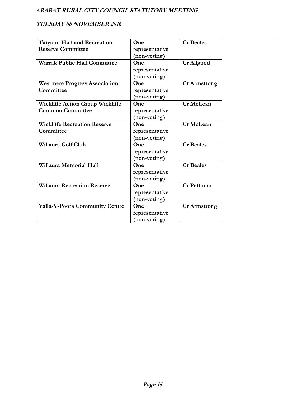## **TUESDAY 08 NOVEMBER 2016**

|                                         | One            | <b>Cr</b> Beales    |
|-----------------------------------------|----------------|---------------------|
| <b>Tatyoon Hall and Recreation</b>      |                |                     |
| <b>Reserve Committee</b>                | representative |                     |
|                                         | (non-voting)   |                     |
| <b>Warrak Public Hall Committee</b>     | One            | Cr Allgood          |
|                                         | representative |                     |
|                                         | (non-voting)   |                     |
| <b>Westmere Progress Association</b>    | One            | <b>Cr Armstrong</b> |
| Committee                               | representative |                     |
|                                         | (non-voting)   |                     |
| <b>Wickliffe Action Group Wickliffe</b> | One            | Cr McLean           |
| <b>Common Committee</b>                 | representative |                     |
|                                         | (non-voting)   |                     |
| <b>Wickliffe Recreation Reserve</b>     | One            | Cr McLean           |
| Committee                               | representative |                     |
|                                         | (non-voting)   |                     |
| Willaura Golf Club                      | One            | <b>Cr</b> Beales    |
|                                         | representative |                     |
|                                         | (non-voting)   |                     |
| Willaura Memorial Hall                  | One            | <b>Cr</b> Beales    |
|                                         | representative |                     |
|                                         | (non-voting)   |                     |
| <b>Willaura Recreation Reserve</b>      | One            | <b>Cr</b> Pettman   |
|                                         | representative |                     |
|                                         | (non-voting)   |                     |
| Yalla-Y-Poora Community Centre          | One            | <b>Cr Armstrong</b> |
|                                         | representative |                     |
|                                         | (non-voting)   |                     |
|                                         |                |                     |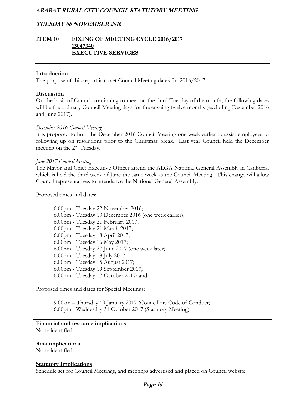#### **TUESDAY 08 NOVEMBER 2016**

#### **ITEM 10 FIXING OF MEETING CYCLE 2016/2017 13047340 EXECUTIVE SERVICES**

#### **Introduction**

The purpose of this report is to set Council Meeting dates for 2016/2017.

#### **Discussion**

On the basis of Council continuing to meet on the third Tuesday of the month, the following dates will be the ordinary Council Meeting days for the ensuing twelve months (excluding December 2016 and June 2017).

#### *December 2016 Council Meeting*

It is proposed to hold the December 2016 Council Meeting one week earlier to assist employees to following up on resolutions prior to the Christmas break. Last year Council held the December meeting on the 2nd Tuesday.

#### *June 2017 Council Meeting*

The Mayor and Chief Executive Officer attend the ALGA National General Assembly in Canberra, which is held the third week of June the same week as the Council Meeting. This change will allow Council representatives to attendance the National General Assembly.

Proposed times and dates:

6.00pm - Tuesday 22 November 2016; 6.00pm - Tuesday 13 December 2016 (one week earlier); 6.00pm - Tuesday 21 February 2017; 6.00pm - Tuesday 21 March 2017; 6.00pm - Tuesday 18 April 2017; 6.00pm - Tuesday 16 May 2017; 6.00pm - Tuesday 27 June 2017 (one week later); 6.00pm - Tuesday 18 July 2017; 6.00pm - Tuesday 15 August 2017; 6.00pm - Tuesday 19 September 2017; 6.00pm - Tuesday 17 October 2017; and

Proposed times and dates for Special Meetings:

 9.00am – Thursday 19 January 2017 (Councillors Code of Conduct) 6.00pm - Wednesday 31 October 2017 (Statutory Meeting).

## **Financial and resource implications**

None identified.

#### **Risk implications**

None identified.

#### **Statutory Implications**

Schedule set for Council Meetings, and meetings advertised and placed on Council website.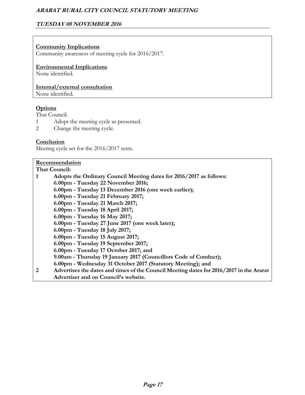## **TUESDAY 08 NOVEMBER 2016**

#### **Community Implications**

Community awareness of meeting cycle for 2016/2017.

**Environmental Implications** 

None identified.

**Internal/external consultation** 

None identified.

#### **Options**

That Council:

- 1 Adopt the meeting cycle as presented.
- 2 Change the meeting cycle.

#### **Conclusion**

Meeting cycle set for the 2016/2017 term.

#### **Recommendation**

**That Council: 1 Adopts the Ordinary Council Meeting dates for 2016/2017 as follows: 6.00pm - Tuesday 22 November 2016; 6.00pm - Tuesday 13 December 2016 (one week earlier); 6.00pm - Tuesday 21 February 2017; 6.00pm - Tuesday 21 March 2017; 6.00pm - Tuesday 18 April 2017; 6.00pm - Tuesday 16 May 2017; 6.00pm - Tuesday 27 June 2017 (one week later); 6.00pm - Tuesday 18 July 2017; 6.00pm - Tuesday 15 August 2017; 6.00pm - Tuesday 19 September 2017; 6.00pm - Tuesday 17 October 2017; and 9.00am - Thursday 19 January 2017 (Councillors Code of Conduct); 6.00pm - Wednesday 31 October 2017 (Statutory Meeting); and 2 Advertises the dates and times of the Council Meeting dates for 2016/2017 in the Ararat Advertiser and on Council's website.**